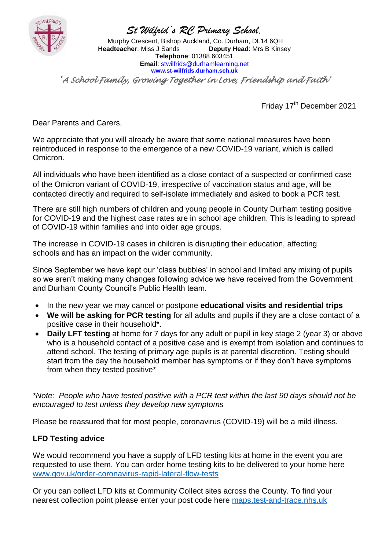

*St Wilfrid's RC Primary School,*

Murphy Crescent, Bishop Auckland, Co. Durham, DL14 6QH<br>**adteacher**: Miss J Sands **Deputy Head**: Mrs B Kinsey **Headteacher: Miss J Sands Telephone**: 01388 603451 **Email**: [stwilfrids@durhamlearning.net](mailto:stwilfrids@durhamlearning.net) **[www.st-wilfrids.durham.sch.uk](http://www.st-wilfrids.durham.sch.uk/)**

*'A School Family, Growing Together in Love, Friendship and Faith'* 

Friday 17<sup>th</sup> December 2021

Dear Parents and Carers,

We appreciate that you will already be aware that some national measures have been reintroduced in response to the emergence of a new COVID-19 variant, which is called Omicron.

All individuals who have been identified as a close contact of a suspected or confirmed case of the Omicron variant of COVID-19, irrespective of vaccination status and age, will be contacted directly and required to self-isolate immediately and asked to book a PCR test.

There are still high numbers of children and young people in County Durham testing positive for COVID-19 and the highest case rates are in school age children. This is leading to spread of COVID-19 within families and into older age groups.

The increase in COVID-19 cases in children is disrupting their education, affecting schools and has an impact on the wider community.

Since September we have kept our 'class bubbles' in school and limited any mixing of pupils so we aren't making many changes following advice we have received from the Government and Durham County Council's Public Health team.

- In the new year we may cancel or postpone **educational visits and residential trips**
- **We will be asking for PCR testing** for all adults and pupils if they are a close contact of a positive case in their household\*.
- **Daily LFT testing** at home for 7 days for any adult or pupil in key stage 2 (year 3) or above who is a household contact of a positive case and is exempt from isolation and continues to attend school. The testing of primary age pupils is at parental discretion. Testing should start from the day the household member has symptoms or if they don't have symptoms from when they tested positive\*

*\*Note: People who have tested positive with a PCR test within the last 90 days should not be encouraged to test unless they develop new symptoms*

Please be reassured that for most people, coronavirus (COVID-19) will be a mild illness.

## **LFD Testing advice**

We would recommend you have a supply of LFD testing kits at home in the event you are requested to use them. You can order home testing kits to be delivered to your home here [www.gov.uk/order-coronavirus-rapid-lateral-flow-tests](http://www.gov.uk/order-coronavirus-rapid-lateral-flow-tests)

Or you can collect LFD kits at Community Collect sites across the County. To find your nearest collection point please enter your post code here [maps.test-and-trace.nhs.uk](https://maps.test-and-trace.nhs.uk/)